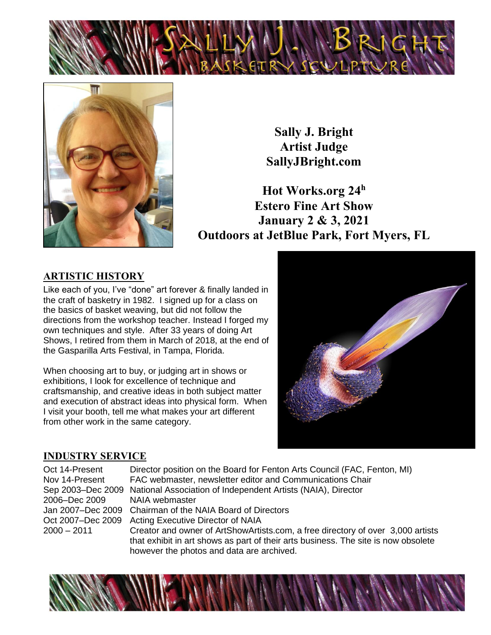



**Sally J. Bright Artist Judge SallyJBright.com**

**Hot Works.org 24<sup>h</sup> Estero Fine Art Show January 2 & 3, 2021 Outdoors at JetBlue Park, Fort Myers, FL**

#### **ARTISTIC HISTORY**

Like each of you, I've "done" art forever & finally landed in the craft of basketry in 1982. I signed up for a class on the basics of basket weaving, but did not follow the directions from the workshop teacher. Instead I forged my own techniques and style. After 33 years of doing Art Shows, I retired from them in March of 2018, at the end of the Gasparilla Arts Festival, in Tampa, Florida.

When choosing art to buy, or judging art in shows or exhibitions, I look for excellence of technique and craftsmanship, and creative ideas in both subject matter and execution of abstract ideas into physical form. When I visit your booth, tell me what makes your art different from other work in the same category.



#### **INDUSTRY SERVICE**

Oct 14-Present Director position on the Board for Fenton Arts Council (FAC, Fenton, MI) Nov 14-Present FAC webmaster, newsletter editor and Communications Chair Sep 2003–Dec 2009 National Association of Independent Artists (NAIA), Director 2006–Dec 2009 NAIA webmaster Jan 2007–Dec 2009 Chairman of the NAIA Board of Directors Oct 2007–Dec 2009 Acting Executive Director of NAIA 2000 – 2011 Creator and owner of ArtShowArtists.com, a free directory of over 3,000 artists that exhibit in art shows as part of their arts business. The site is now obsolete however the photos and data are archived.

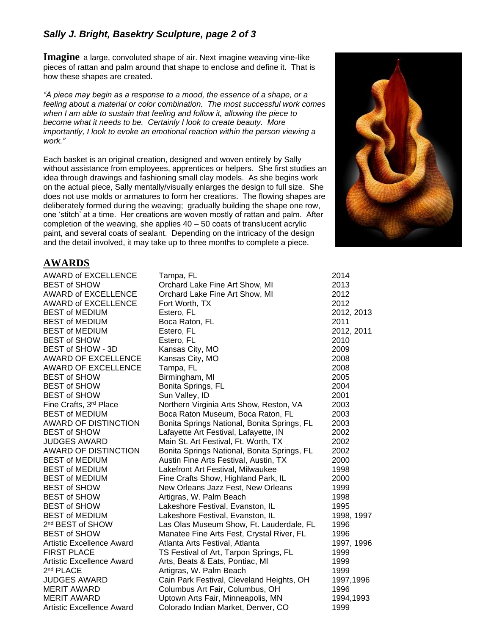#### *Sally J. Bright, Basektry Sculpture, page 2 of 3*

**Imagine** a large, convoluted shape of air. Next imagine weaving vine-like pieces of rattan and palm around that shape to enclose and define it. That is how these shapes are created.

*"A piece may begin as a response to a mood, the essence of a shape, or a feeling about a material or color combination. The most successful work comes when I am able to sustain that feeling and follow it, allowing the piece to become what it needs to be. Certainly I look to create beauty. More importantly, I look to evoke an emotional reaction within the person viewing a work."* 

Each basket is an original creation, designed and woven entirely by Sally without assistance from employees, apprentices or helpers. She first studies an idea through drawings and fashioning small clay models. As she begins work on the actual piece, Sally mentally/visually enlarges the design to full size. She does not use molds or armatures to form her creations. The flowing shapes are deliberately formed during the weaving; gradually building the shape one row, one 'stitch' at a time. Her creations are woven mostly of rattan and palm. After completion of the weaving, she applies  $40 - 50$  coats of translucent acrylic paint, and several coats of sealant. Depending on the intricacy of the design and the detail involved, it may take up to three months to complete a piece.



#### **AWARDS**

| AWARD of EXCELLENCE              | Tampa, FL                                   | 2014       |
|----------------------------------|---------------------------------------------|------------|
| <b>BEST of SHOW</b>              | Orchard Lake Fine Art Show, MI              | 2013       |
| <b>AWARD of EXCELLENCE</b>       | Orchard Lake Fine Art Show, MI              | 2012       |
| <b>AWARD of EXCELLENCE</b>       | Fort Worth, TX                              | 2012       |
| <b>BEST of MEDIUM</b>            | Estero, FL                                  | 2012, 2013 |
| <b>BEST of MEDIUM</b>            | Boca Raton, FL                              | 2011       |
| <b>BEST of MEDIUM</b>            | Estero, FL                                  | 2012, 2011 |
| <b>BEST of SHOW</b>              | Estero, FL                                  | 2010       |
| BEST of SHOW - 3D                | Kansas City, MO                             | 2009       |
| <b>AWARD OF EXCELLENCE</b>       | Kansas City, MO                             | 2008       |
| <b>AWARD OF EXCELLENCE</b>       | Tampa, FL                                   | 2008       |
| <b>BEST of SHOW</b>              | Birmingham, MI                              | 2005       |
| <b>BEST of SHOW</b>              | Bonita Springs, FL                          | 2004       |
| <b>BEST of SHOW</b>              | Sun Valley, ID                              | 2001       |
| Fine Crafts, 3rd Place           | Northern Virginia Arts Show, Reston, VA     | 2003       |
| <b>BEST of MEDIUM</b>            | Boca Raton Museum, Boca Raton, FL           | 2003       |
| AWARD OF DISTINCTION             | Bonita Springs National, Bonita Springs, FL | 2003       |
| <b>BEST of SHOW</b>              | Lafayette Art Festival, Lafayette, IN       | 2002       |
| <b>JUDGES AWARD</b>              | Main St. Art Festival, Ft. Worth, TX        | 2002       |
| AWARD OF DISTINCTION             | Bonita Springs National, Bonita Springs, FL | 2002       |
| <b>BEST of MEDIUM</b>            | Austin Fine Arts Festival, Austin, TX       | 2000       |
| <b>BEST of MEDIUM</b>            | Lakefront Art Festival, Milwaukee           | 1998       |
| <b>BEST of MEDIUM</b>            | Fine Crafts Show, Highland Park, IL         | 2000       |
| <b>BEST of SHOW</b>              | New Orleans Jazz Fest, New Orleans          | 1999       |
| <b>BEST of SHOW</b>              | Artigras, W. Palm Beach                     | 1998       |
| <b>BEST of SHOW</b>              | Lakeshore Festival, Evanston, IL            | 1995       |
| <b>BEST of MEDIUM</b>            | Lakeshore Festival, Evanston, IL            | 1998, 1997 |
| 2 <sup>nd</sup> BEST of SHOW     | Las Olas Museum Show, Ft. Lauderdale, FL    | 1996       |
| <b>BEST of SHOW</b>              | Manatee Fine Arts Fest, Crystal River, FL   | 1996       |
| <b>Artistic Excellence Award</b> | Atlanta Arts Festival, Atlanta              | 1997, 1996 |
| <b>FIRST PLACE</b>               | TS Festival of Art, Tarpon Springs, FL      | 1999       |
| <b>Artistic Excellence Award</b> | Arts, Beats & Eats, Pontiac, MI             | 1999       |
| 2 <sup>nd</sup> PLACE            | Artigras, W. Palm Beach                     | 1999       |
| <b>JUDGES AWARD</b>              | Cain Park Festival, Cleveland Heights, OH   | 1997,1996  |
| <b>MERIT AWARD</b>               | Columbus Art Fair, Columbus, OH             | 1996       |
| <b>MERIT AWARD</b>               | Uptown Arts Fair, Minneapolis, MN           | 1994,1993  |
| <b>Artistic Excellence Award</b> | Colorado Indian Market, Denver, CO          | 1999       |